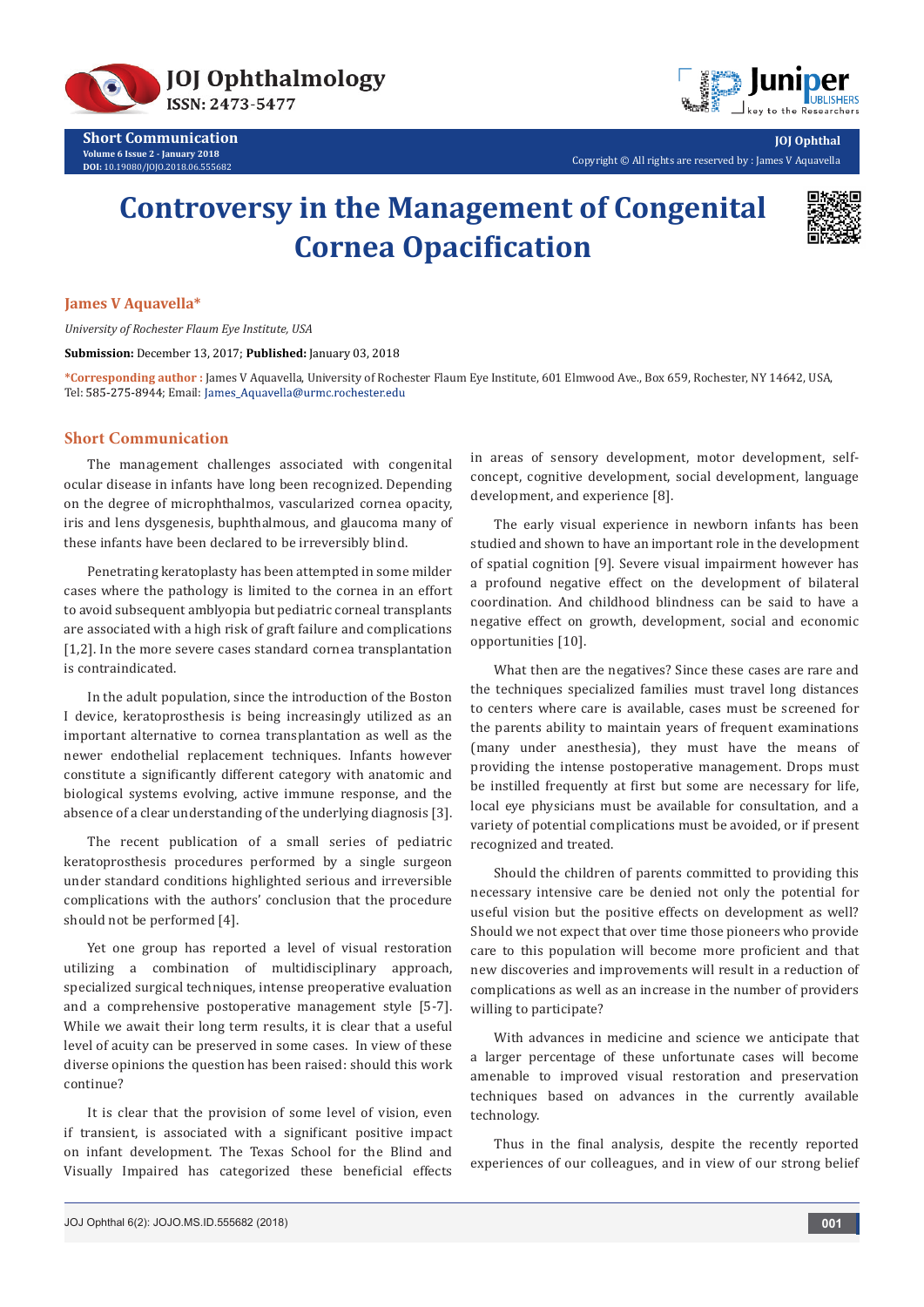



Copyright © All rights are reserved by : James V Aquavella

# **Controversy in the Management of Congenital Cornea Opacification**



**JOJ Ophthal**

### **James V Aquavella\***

*University of Rochester Flaum Eye Institute, USA*

**Submission:** December 13, 2017; **Published:** January 03, 2018

**\*Corresponding author :** James V Aquavella, University of Rochester Flaum Eye Institute, 601 Elmwood Ave., Box 659, Rochester, NY 14642, USA, Tel: 585-275-8944; Email: James\_Aquavella@urmc.rochester.edu

# **Short Communication**

The management challenges associated with congenital ocular disease in infants have long been recognized. Depending on the degree of microphthalmos, vascularized cornea opacity, iris and lens dysgenesis, buphthalmous, and glaucoma many of these infants have been declared to be irreversibly blind.

Penetrating keratoplasty has been attempted in some milder cases where the pathology is limited to the cornea in an effort to avoid subsequent amblyopia but pediatric corneal transplants are associated with a high risk of graft failure and complications [1,2]. In the more severe cases standard cornea transplantation is contraindicated.

In the adult population, since the introduction of the Boston I device, keratoprosthesis is being increasingly utilized as an important alternative to cornea transplantation as well as the newer endothelial replacement techniques. Infants however constitute a significantly different category with anatomic and biological systems evolving, active immune response, and the absence of a clear understanding of the underlying diagnosis [3].

The recent publication of a small series of pediatric keratoprosthesis procedures performed by a single surgeon under standard conditions highlighted serious and irreversible complications with the authors' conclusion that the procedure should not be performed [4].

Yet one group has reported a level of visual restoration utilizing a combination of multidisciplinary approach, specialized surgical techniques, intense preoperative evaluation and a comprehensive postoperative management style [5-7]. While we await their long term results, it is clear that a useful level of acuity can be preserved in some cases. In view of these diverse opinions the question has been raised: should this work continue?

It is clear that the provision of some level of vision, even if transient, is associated with a significant positive impact on infant development. The Texas School for the Blind and Visually Impaired has categorized these beneficial effects

in areas of sensory development, motor development, selfconcept, cognitive development, social development, language development, and experience [8].

The early visual experience in newborn infants has been studied and shown to have an important role in the development of spatial cognition [9]. Severe visual impairment however has a profound negative effect on the development of bilateral coordination. And childhood blindness can be said to have a negative effect on growth, development, social and economic opportunities [10].

What then are the negatives? Since these cases are rare and the techniques specialized families must travel long distances to centers where care is available, cases must be screened for the parents ability to maintain years of frequent examinations (many under anesthesia), they must have the means of providing the intense postoperative management. Drops must be instilled frequently at first but some are necessary for life, local eye physicians must be available for consultation, and a variety of potential complications must be avoided, or if present recognized and treated.

Should the children of parents committed to providing this necessary intensive care be denied not only the potential for useful vision but the positive effects on development as well? Should we not expect that over time those pioneers who provide care to this population will become more proficient and that new discoveries and improvements will result in a reduction of complications as well as an increase in the number of providers willing to participate?

With advances in medicine and science we anticipate that a larger percentage of these unfortunate cases will become amenable to improved visual restoration and preservation techniques based on advances in the currently available technology.

Thus in the final analysis, despite the recently reported experiences of our colleagues, and in view of our strong belief